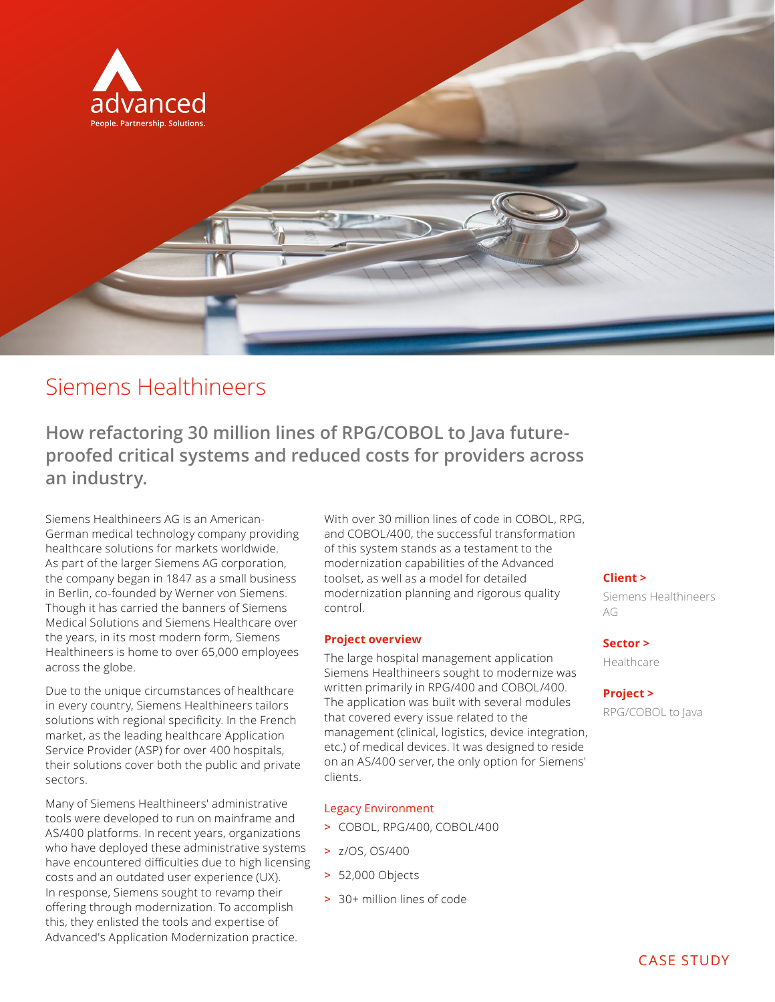

# Siemens Healthineers

**How refactoring 30 million lines of RPG/COBOL to Java futureproofed critical systems and reduced costs for providers across an industry.** 

Siemens Healthineers AG is an American-German medical technology company providing healthcare solutions for markets worldwide. As part of the larger Siemens AG corporation, the company began in 1847 as a small business in Berlin, co-founded by Werner von Siemens. Though it has carried the banners of Siemens Medical Solutions and Siemens Healthcare over the years, in its most modern form, Siemens Healthineers is home to over 65,000 employees across the globe.

Due to the unique circumstances of healthcare in every country, Siemens Healthineers tailors solutions with regional specificity. In the French market, as the leading healthcare Application Service Provider (ASP) for over 400 hospitals, their solutions cover both the public and private sectors.

Many of Siemens Healthineers' administrative tools were developed to run on mainframe and AS/400 platforms. In recent years, organizations who have deployed these administrative systems have encountered difficulties due to high licensing costs and an outdated user experience (UX). In response, Siemens sought to revamp their offering through modernization. To accomplish this, they enlisted the tools and expertise of Advanced's Application Modernization practice.

With over 30 million lines of code in COBOL, RPG, and COBOL/400, the successful transformation of this system stands as a testament to the modernization capabilities of the Advanced toolset, as well as a model for detailed modernization planning and rigorous quality control.

#### **Project overview**

The large hospital management application Siemens Healthineers sought to modernize was written primarily in RPG/400 and COBOL/400. The application was built with several modules that covered every issue related to the management (clinical, logistics, device integration, etc.) of medical devices. It was designed to reside on an AS/400 server, the only option for Siemens' clients.

#### Legacy Environment

- **>** COBOL, RPG/400, COBOL/400
- **>** z/OS, OS/400
- **>** 52,000 Objects
- **>** 30+ million lines of code

### **Client >**

Siemens Healthineers AG

# **Sector >**

Healthcare

#### **Project >**

RPG/COBOL to Java